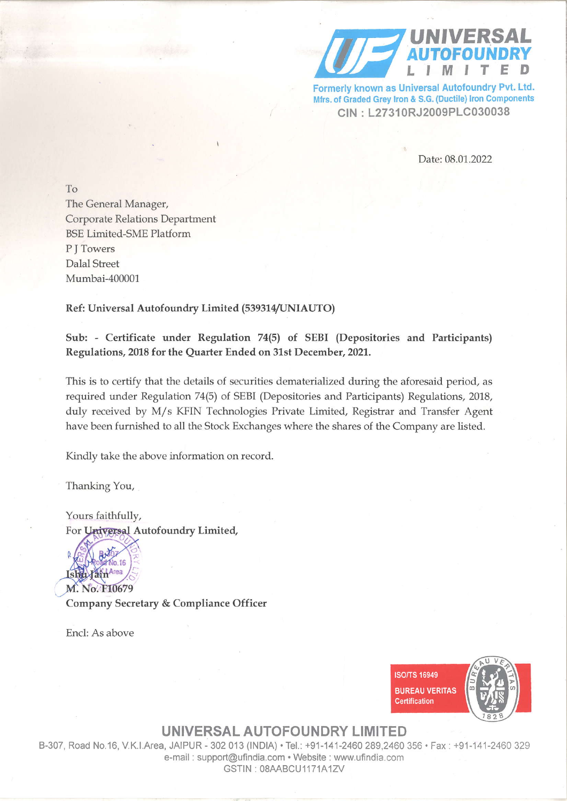

Formerly known as Universal Autofoundry Pvt. Ltd. Mfrs. of Graded Grey Iron & S.G. (Ductile) Iron Components CIN: L27310RJ2009PLC030038

Date: 08.01.2022

To The General Manager, **Corporate Relations Department BSE Limited-SME Platform** P I Towers **Dalal Street** Mumbai-400001

## Ref: Universal Autofoundry Limited (539314/UNIAUTO)

Sub: - Certificate under Regulation 74(5) of SEBI (Depositories and Participants) Regulations, 2018 for the Quarter Ended on 31st December, 2021.

This is to certify that the details of securities dematerialized during the aforesaid period, as required under Regulation 74(5) of SEBI (Depositories and Participants) Regulations, 2018, duly received by M/s KFIN Technologies Private Limited, Registrar and Transfer Agent have been furnished to all the Stock Exchanges where the shares of the Company are listed.

Kindly take the above information on record.

Thanking You,

Yours faithfully, For Universal Autofoundry Limited,



Company Secretary & Compliance Officer

Encl: As above



UNIVERSAL AUTOFOUNDRY LIMITED

B-307, Road No.16, V.K.I.Area, JAIPUR - 302 013 (INDIA) . Tel.: +91-141-2460 289,2460 356 . Fax: +91-141-2460 329 e-mail: support@ufindia.com · Website: www.ufindia.com GSTIN: 08AABCU1171A1ZV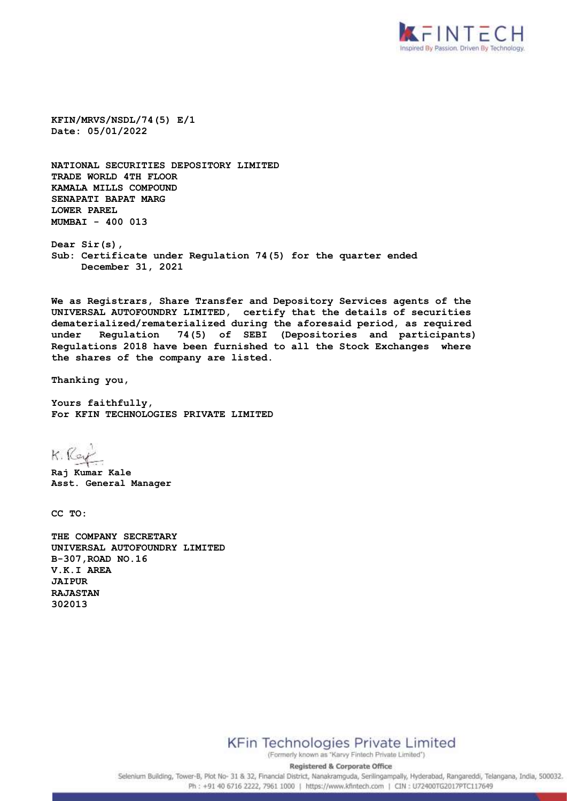

**KFIN/MRVS/NSDL/74(5) E/1 Date: 05/01/2022**

**NATIONAL SECURITIES DEPOSITORY LIMITED TRADE WORLD 4TH FLOOR KAMALA MILLS COMPOUND SENAPATI BAPAT MARG LOWER PAREL MUMBAI - 400 013**

**Dear Sir(s), Sub: Certificate under Regulation 74(5) for the quarter ended December 31, 2021**

**We as Registrars, Share Transfer and Depository Services agents of the UNIVERSAL AUTOFOUNDRY LIMITED, certify that the details of securities dematerialized/rematerialized during the aforesaid period, as required under Regulation 74(5) of SEBI (Depositories and participants) Regulations 2018 have been furnished to all the Stock Exchanges where the shares of the company are listed.** 

**Thanking you,**

**Yours faithfully, For KFIN TECHNOLOGIES PRIVATE LIMITED**

K. Ray

**Raj Kumar Kale Asst. General Manager**

**CC TO:**

**THE COMPANY SECRETARY UNIVERSAL AUTOFOUNDRY LIMITED B-307,ROAD NO.16 V.K.I AREA JAIPUR RAJASTAN 302013**

**KFin Technologies Private Limited** 

(Formerly known as "Karvy Fintech Private Limited") **Registered & Corporate Office** 

Selenium Building, Tower-B, Plot No- 31 & 32, Financial District, Nanakramguda, Serilingampally, Hyderabad, Rangareddi, Telangana, India, 500032. Ph: +91 40 6716 2222, 7961 1000 | https://www.kfintech.com | CIN : U72400TG2017PTC117649